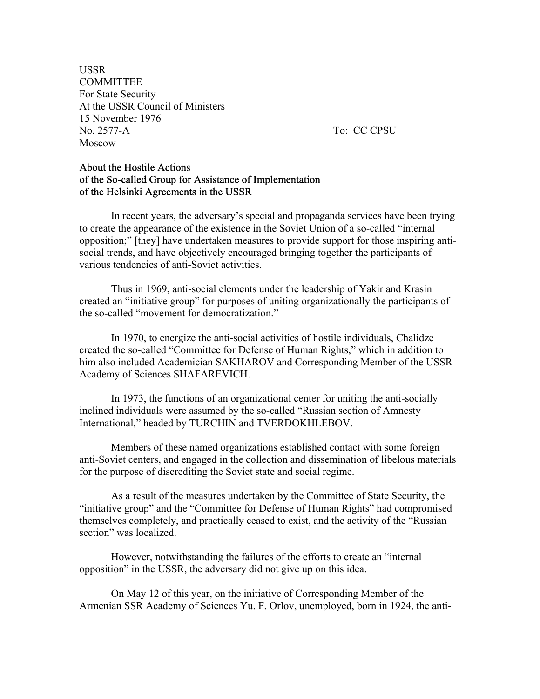USSR **COMMITTEE** For State Security At the USSR Council of Ministers 15 November 1976 No. 2577-A To: CC CPSU Moscow

## About the Hostile Actions of the So-called Group for Assistance of Implementation of the Helsinki Agreements in the USSR

 In recent years, the adversary's special and propaganda services have been trying to create the appearance of the existence in the Soviet Union of a so-called "internal opposition;" [they] have undertaken measures to provide support for those inspiring antisocial trends, and have objectively encouraged bringing together the participants of various tendencies of anti-Soviet activities.

 Thus in 1969, anti-social elements under the leadership of Yakir and Krasin created an "initiative group" for purposes of uniting organizationally the participants of the so-called "movement for democratization."

 In 1970, to energize the anti-social activities of hostile individuals, Chalidze created the so-called "Committee for Defense of Human Rights," which in addition to him also included Academician SAKHAROV and Corresponding Member of the USSR Academy of Sciences SHAFAREVICH.

 In 1973, the functions of an organizational center for uniting the anti-socially inclined individuals were assumed by the so-called "Russian section of Amnesty International," headed by TURCHIN and TVERDOKHLEBOV.

 Members of these named organizations established contact with some foreign anti-Soviet centers, and engaged in the collection and dissemination of libelous materials for the purpose of discrediting the Soviet state and social regime.

 As a result of the measures undertaken by the Committee of State Security, the "initiative group" and the "Committee for Defense of Human Rights" had compromised themselves completely, and practically ceased to exist, and the activity of the "Russian section" was localized.

 However, notwithstanding the failures of the efforts to create an "internal opposition" in the USSR, the adversary did not give up on this idea.

On May 12 of this year, on the initiative of Corresponding Member of the Armenian SSR Academy of Sciences Yu. F. Orlov, unemployed, born in 1924, the anti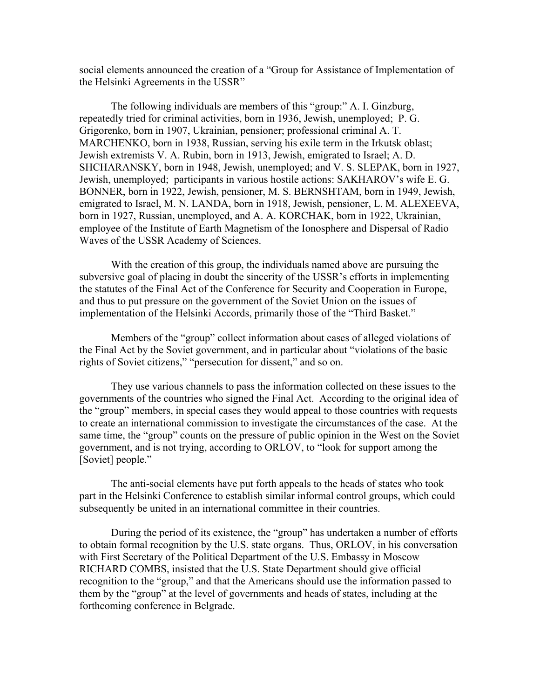social elements announced the creation of a "Group for Assistance of Implementation of the Helsinki Agreements in the USSR"

The following individuals are members of this "group:" A. I. Ginzburg, repeatedly tried for criminal activities, born in 1936, Jewish, unemployed; P. G. Grigorenko, born in 1907, Ukrainian, pensioner; professional criminal A. T. MARCHENKO, born in 1938, Russian, serving his exile term in the Irkutsk oblast; Jewish extremists V. A. Rubin, born in 1913, Jewish, emigrated to Israel; A. D. SHCHARANSKY, born in 1948, Jewish, unemployed; and V. S. SLEPAK, born in 1927, Jewish, unemployed; participants in various hostile actions: SAKHAROV's wife E. G. BONNER, born in 1922, Jewish, pensioner, M. S. BERNSHTAM, born in 1949, Jewish, emigrated to Israel, M. N. LANDA, born in 1918, Jewish, pensioner, L. M. ALEXEEVA, born in 1927, Russian, unemployed, and A. A. KORCHAK, born in 1922, Ukrainian, employee of the Institute of Earth Magnetism of the Ionosphere and Dispersal of Radio Waves of the USSR Academy of Sciences.

With the creation of this group, the individuals named above are pursuing the subversive goal of placing in doubt the sincerity of the USSR's efforts in implementing the statutes of the Final Act of the Conference for Security and Cooperation in Europe, and thus to put pressure on the government of the Soviet Union on the issues of implementation of the Helsinki Accords, primarily those of the "Third Basket."

Members of the "group" collect information about cases of alleged violations of the Final Act by the Soviet government, and in particular about "violations of the basic rights of Soviet citizens," "persecution for dissent," and so on.

They use various channels to pass the information collected on these issues to the governments of the countries who signed the Final Act. According to the original idea of the "group" members, in special cases they would appeal to those countries with requests to create an international commission to investigate the circumstances of the case. At the same time, the "group" counts on the pressure of public opinion in the West on the Soviet government, and is not trying, according to ORLOV, to "look for support among the [Soviet] people."

The anti-social elements have put forth appeals to the heads of states who took part in the Helsinki Conference to establish similar informal control groups, which could subsequently be united in an international committee in their countries.

During the period of its existence, the "group" has undertaken a number of efforts to obtain formal recognition by the U.S. state organs. Thus, ORLOV, in his conversation with First Secretary of the Political Department of the U.S. Embassy in Moscow RICHARD COMBS, insisted that the U.S. State Department should give official recognition to the "group," and that the Americans should use the information passed to them by the "group" at the level of governments and heads of states, including at the forthcoming conference in Belgrade.